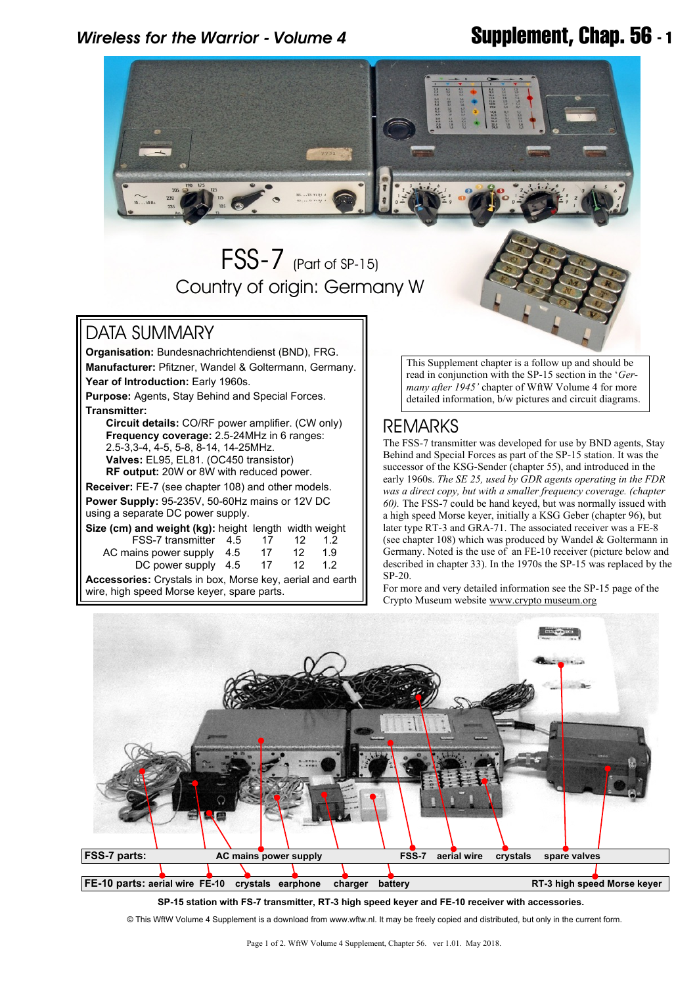## *Wireless for the Warrior - Volume 4* **Supplement, Chap. 56 - 1**



**Accessories:** Crystals in box, Morse key, aerial and earth wire, high speed Morse keyer, spare parts.

For more and very detailed information see the SP-15 page of the Crypto Museum website [www.crypto museum.org](www.cryptomuseum.org)



SP-20.

**SP-15 station with FS-7 transmitter, RT-3 high speed keyer and FE-10 receiver with accessories.**

© This WftW Volume 4 Supplement is a download from www.wftw.nl. It may be freely copied and distributed, but only in the current form.